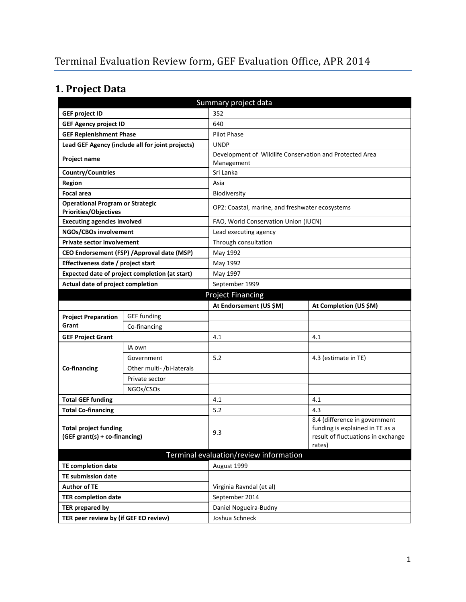# **1. Project Data**

| Summary project data                                                    |                                                  |                                                                       |                                                                                                                  |  |  |
|-------------------------------------------------------------------------|--------------------------------------------------|-----------------------------------------------------------------------|------------------------------------------------------------------------------------------------------------------|--|--|
| <b>GEF project ID</b>                                                   |                                                  | 352                                                                   |                                                                                                                  |  |  |
| <b>GEF Agency project ID</b>                                            |                                                  | 640                                                                   |                                                                                                                  |  |  |
| <b>GEF Replenishment Phase</b>                                          |                                                  | Pilot Phase                                                           |                                                                                                                  |  |  |
|                                                                         | Lead GEF Agency (include all for joint projects) | <b>UNDP</b>                                                           |                                                                                                                  |  |  |
| Project name                                                            |                                                  | Development of Wildlife Conservation and Protected Area<br>Management |                                                                                                                  |  |  |
| Country/Countries                                                       |                                                  | Sri Lanka                                                             |                                                                                                                  |  |  |
| <b>Region</b>                                                           |                                                  | Asia                                                                  |                                                                                                                  |  |  |
| <b>Focal area</b>                                                       |                                                  | <b>Biodiversity</b>                                                   |                                                                                                                  |  |  |
| <b>Operational Program or Strategic</b><br><b>Priorities/Objectives</b> |                                                  | OP2: Coastal, marine, and freshwater ecosystems                       |                                                                                                                  |  |  |
| <b>Executing agencies involved</b>                                      |                                                  | FAO, World Conservation Union (IUCN)                                  |                                                                                                                  |  |  |
| NGOs/CBOs involvement                                                   |                                                  | Lead executing agency                                                 |                                                                                                                  |  |  |
| <b>Private sector involvement</b>                                       |                                                  | Through consultation                                                  |                                                                                                                  |  |  |
|                                                                         | CEO Endorsement (FSP) / Approval date (MSP)      | May 1992                                                              |                                                                                                                  |  |  |
| Effectiveness date / project start                                      |                                                  | May 1992                                                              |                                                                                                                  |  |  |
| Expected date of project completion (at start)                          |                                                  | May 1997                                                              |                                                                                                                  |  |  |
| Actual date of project completion                                       |                                                  | September 1999                                                        |                                                                                                                  |  |  |
| <b>Project Financing</b>                                                |                                                  |                                                                       |                                                                                                                  |  |  |
|                                                                         |                                                  | At Endorsement (US \$M)                                               | At Completion (US \$M)                                                                                           |  |  |
| <b>Project Preparation</b>                                              | <b>GEF</b> funding                               |                                                                       |                                                                                                                  |  |  |
| Grant                                                                   | Co-financing                                     |                                                                       |                                                                                                                  |  |  |
| <b>GEF Project Grant</b>                                                |                                                  | 4.1                                                                   | 4.1                                                                                                              |  |  |
|                                                                         | IA own                                           |                                                                       |                                                                                                                  |  |  |
|                                                                         | Government                                       | 5.2                                                                   | 4.3 (estimate in TE)                                                                                             |  |  |
| Co-financing                                                            | Other multi- /bi-laterals                        |                                                                       |                                                                                                                  |  |  |
|                                                                         | Private sector                                   |                                                                       |                                                                                                                  |  |  |
|                                                                         | NGOs/CSOs                                        |                                                                       |                                                                                                                  |  |  |
| <b>Total GEF funding</b>                                                |                                                  | 4.1                                                                   | 4.1                                                                                                              |  |  |
| <b>Total Co-financing</b>                                               |                                                  | 5.2                                                                   | 4.3                                                                                                              |  |  |
| <b>Total project funding</b><br>(GEF grant(s) + co-financing)           |                                                  | 9.3                                                                   | 8.4 (difference in government<br>funding is explained in TE as a<br>result of fluctuations in exchange<br>rates) |  |  |
|                                                                         |                                                  | Terminal evaluation/review information                                |                                                                                                                  |  |  |
| <b>TE completion date</b>                                               |                                                  | August 1999                                                           |                                                                                                                  |  |  |
| <b>TE submission date</b>                                               |                                                  |                                                                       |                                                                                                                  |  |  |
| <b>Author of TE</b>                                                     |                                                  | Virginia Ravndal (et al)                                              |                                                                                                                  |  |  |
| <b>TER completion date</b>                                              |                                                  | September 2014                                                        |                                                                                                                  |  |  |
| <b>TER prepared by</b>                                                  |                                                  | Daniel Nogueira-Budny                                                 |                                                                                                                  |  |  |
| TER peer review by (if GEF EO review)                                   |                                                  | Joshua Schneck                                                        |                                                                                                                  |  |  |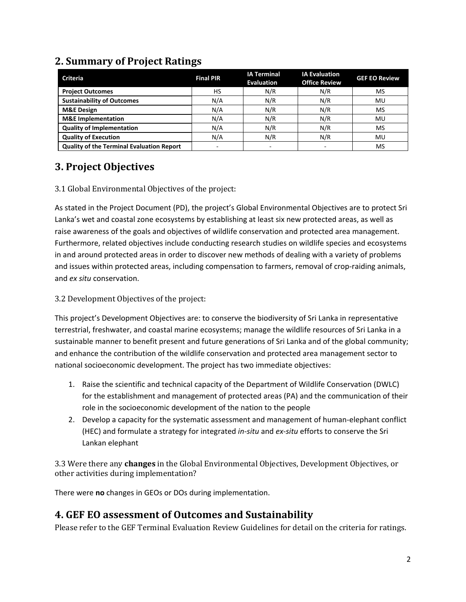| <b>Criteria</b>                                  | <b>Final PIR</b> | <b>IA Terminal</b><br><b>Evaluation</b> | <b>IA Evaluation</b><br><b>Office Review</b> | <b>GEF EO Review</b> |
|--------------------------------------------------|------------------|-----------------------------------------|----------------------------------------------|----------------------|
| <b>Project Outcomes</b>                          | HS               | N/R                                     | N/R                                          | <b>MS</b>            |
| <b>Sustainability of Outcomes</b>                | N/A              | N/R                                     | N/R                                          | MU                   |
| <b>M&amp;E Design</b>                            | N/A              | N/R                                     | N/R                                          | MS                   |
| <b>M&amp;E</b> Implementation                    | N/A              | N/R                                     | N/R                                          | MU                   |
| <b>Quality of Implementation</b>                 | N/A              | N/R                                     | N/R                                          | MS                   |
| <b>Quality of Execution</b>                      | N/A              | N/R                                     | N/R                                          | MU                   |
| <b>Quality of the Terminal Evaluation Report</b> | ۰                |                                         |                                              | MS                   |

### **2. Summary of Project Ratings**

### **3. Project Objectives**

#### 3.1 Global Environmental Objectives of the project:

As stated in the Project Document (PD), the project's Global Environmental Objectives are to protect Sri Lanka's wet and coastal zone ecosystems by establishing at least six new protected areas, as well as raise awareness of the goals and objectives of wildlife conservation and protected area management. Furthermore, related objectives include conducting research studies on wildlife species and ecosystems in and around protected areas in order to discover new methods of dealing with a variety of problems and issues within protected areas, including compensation to farmers, removal of crop-raiding animals, and *ex situ* conservation.

3.2 Development Objectives of the project:

This project's Development Objectives are: to conserve the biodiversity of Sri Lanka in representative terrestrial, freshwater, and coastal marine ecosystems; manage the wildlife resources of Sri Lanka in a sustainable manner to benefit present and future generations of Sri Lanka and of the global community; and enhance the contribution of the wildlife conservation and protected area management sector to national socioeconomic development. The project has two immediate objectives:

- 1. Raise the scientific and technical capacity of the Department of Wildlife Conservation (DWLC) for the establishment and management of protected areas (PA) and the communication of their role in the socioeconomic development of the nation to the people
- 2. Develop a capacity for the systematic assessment and management of human-elephant conflict (HEC) and formulate a strategy for integrated *in-situ* and *ex-situ* efforts to conserve the Sri Lankan elephant

3.3 Were there any **changes** in the Global Environmental Objectives, Development Objectives, or other activities during implementation?

There were **no** changes in GEOs or DOs during implementation.

### **4. GEF EO assessment of Outcomes and Sustainability**

Please refer to the GEF Terminal Evaluation Review Guidelines for detail on the criteria for ratings.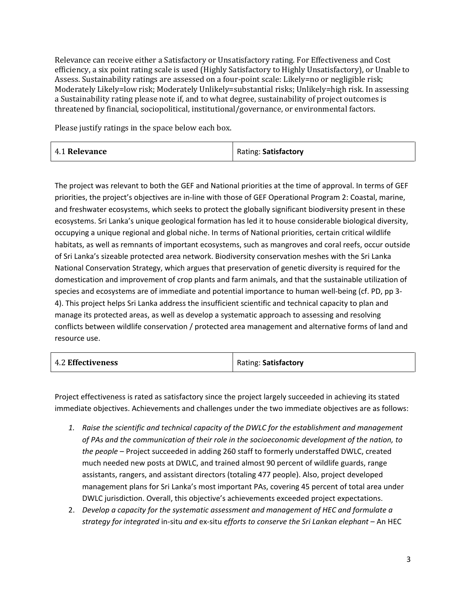Relevance can receive either a Satisfactory or Unsatisfactory rating. For Effectiveness and Cost efficiency, a six point rating scale is used (Highly Satisfactory to Highly Unsatisfactory), or Unable to Assess. Sustainability ratings are assessed on a four-point scale: Likely=no or negligible risk; Moderately Likely=low risk; Moderately Unlikely=substantial risks; Unlikely=high risk. In assessing a Sustainability rating please note if, and to what degree, sustainability of project outcomes is threatened by financial, sociopolitical, institutional/governance, or environmental factors.

Please justify ratings in the space below each box.

| 4.1 Relevance | Rating: Satisfactory |
|---------------|----------------------|
|---------------|----------------------|

The project was relevant to both the GEF and National priorities at the time of approval. In terms of GEF priorities, the project's objectives are in-line with those of GEF Operational Program 2: Coastal, marine, and freshwater ecosystems, which seeks to protect the globally significant biodiversity present in these ecosystems. Sri Lanka's unique geological formation has led it to house considerable biological diversity, occupying a unique regional and global niche. In terms of National priorities, certain critical wildlife habitats, as well as remnants of important ecosystems, such as mangroves and coral reefs, occur outside of Sri Lanka's sizeable protected area network. Biodiversity conservation meshes with the Sri Lanka National Conservation Strategy, which argues that preservation of genetic diversity is required for the domestication and improvement of crop plants and farm animals, and that the sustainable utilization of species and ecosystems are of immediate and potential importance to human well-being (cf. PD, pp 3- 4). This project helps Sri Lanka address the insufficient scientific and technical capacity to plan and manage its protected areas, as well as develop a systematic approach to assessing and resolving conflicts between wildlife conservation / protected area management and alternative forms of land and resource use.

| <b>4.2 Effectiveness</b> | Rating: Satisfactory |
|--------------------------|----------------------|
|--------------------------|----------------------|

Project effectiveness is rated as satisfactory since the project largely succeeded in achieving its stated immediate objectives. Achievements and challenges under the two immediate objectives are as follows:

- *1. Raise the scientific and technical capacity of the DWLC for the establishment and management of PAs and the communication of their role in the socioeconomic development of the nation, to the people* – Project succeeded in adding 260 staff to formerly understaffed DWLC, created much needed new posts at DWLC, and trained almost 90 percent of wildlife guards, range assistants, rangers, and assistant directors (totaling 477 people). Also, project developed management plans for Sri Lanka's most important PAs, covering 45 percent of total area under DWLC jurisdiction. Overall, this objective's achievements exceeded project expectations.
- 2. *Develop a capacity for the systematic assessment and management of HEC and formulate a strategy for integrated* in-situ *and* ex-situ *efforts to conserve the Sri Lankan elephant* – An HEC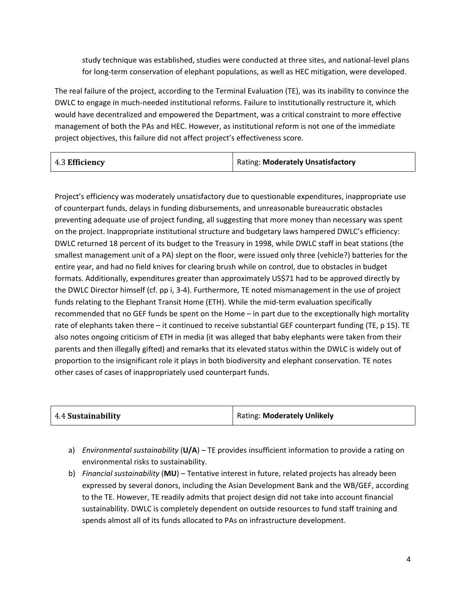study technique was established, studies were conducted at three sites, and national-level plans for long-term conservation of elephant populations, as well as HEC mitigation, were developed.

The real failure of the project, according to the Terminal Evaluation (TE), was its inability to convince the DWLC to engage in much-needed institutional reforms. Failure to institutionally restructure it, which would have decentralized and empowered the Department, was a critical constraint to more effective management of both the PAs and HEC. However, as institutional reform is not one of the immediate project objectives, this failure did not affect project's effectiveness score.

Project's efficiency was moderately unsatisfactory due to questionable expenditures, inappropriate use of counterpart funds, delays in funding disbursements, and unreasonable bureaucratic obstacles preventing adequate use of project funding, all suggesting that more money than necessary was spent on the project. Inappropriate institutional structure and budgetary laws hampered DWLC's efficiency: DWLC returned 18 percent of its budget to the Treasury in 1998, while DWLC staff in beat stations (the smallest management unit of a PA) slept on the floor, were issued only three (vehicle?) batteries for the entire year, and had no field knives for clearing brush while on control, due to obstacles in budget formats. Additionally, expenditures greater than approximately US\$71 had to be approved directly by the DWLC Director himself (cf. pp i, 3-4). Furthermore, TE noted mismanagement in the use of project funds relating to the Elephant Transit Home (ETH). While the mid-term evaluation specifically recommended that no GEF funds be spent on the Home – in part due to the exceptionally high mortality rate of elephants taken there – it continued to receive substantial GEF counterpart funding (TE, p 15). TE also notes ongoing criticism of ETH in media (it was alleged that baby elephants were taken from their parents and then illegally gifted) and remarks that its elevated status within the DWLC is widely out of proportion to the insignificant role it plays in both biodiversity and elephant conservation. TE notes other cases of cases of inappropriately used counterpart funds.

- a) *Environmental sustainability* (**U/A**) TE provides insufficient information to provide a rating on environmental risks to sustainability.
- b) *Financial sustainability* (**MU**) Tentative interest in future, related projects has already been expressed by several donors, including the Asian Development Bank and the WB/GEF, according to the TE. However, TE readily admits that project design did not take into account financial sustainability. DWLC is completely dependent on outside resources to fund staff training and spends almost all of its funds allocated to PAs on infrastructure development.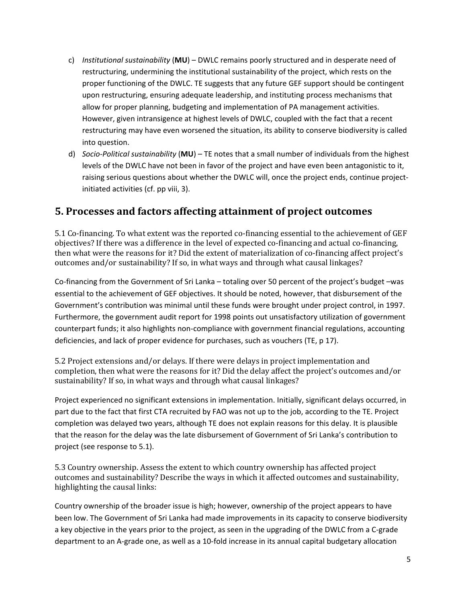- c) *Institutional sustainability* (**MU**) DWLC remains poorly structured and in desperate need of restructuring, undermining the institutional sustainability of the project, which rests on the proper functioning of the DWLC. TE suggests that any future GEF support should be contingent upon restructuring, ensuring adequate leadership, and instituting process mechanisms that allow for proper planning, budgeting and implementation of PA management activities. However, given intransigence at highest levels of DWLC, coupled with the fact that a recent restructuring may have even worsened the situation, its ability to conserve biodiversity is called into question.
- d) *Socio-Political sustainability* (**MU**) TE notes that a small number of individuals from the highest levels of the DWLC have not been in favor of the project and have even been antagonistic to it, raising serious questions about whether the DWLC will, once the project ends, continue projectinitiated activities (cf. pp viii, 3).

#### **5. Processes and factors affecting attainment of project outcomes**

5.1 Co-financing. To what extent was the reported co-financing essential to the achievement of GEF objectives? If there was a difference in the level of expected co-financing and actual co-financing, then what were the reasons for it? Did the extent of materialization of co-financing affect project's outcomes and/or sustainability? If so, in what ways and through what causal linkages?

Co-financing from the Government of Sri Lanka – totaling over 50 percent of the project's budget –was essential to the achievement of GEF objectives. It should be noted, however, that disbursement of the Government's contribution was minimal until these funds were brought under project control, in 1997. Furthermore, the government audit report for 1998 points out unsatisfactory utilization of government counterpart funds; it also highlights non-compliance with government financial regulations, accounting deficiencies, and lack of proper evidence for purchases, such as vouchers (TE, p 17).

5.2 Project extensions and/or delays. If there were delays in project implementation and completion, then what were the reasons for it? Did the delay affect the project's outcomes and/or sustainability? If so, in what ways and through what causal linkages?

Project experienced no significant extensions in implementation. Initially, significant delays occurred, in part due to the fact that first CTA recruited by FAO was not up to the job, according to the TE. Project completion was delayed two years, although TE does not explain reasons for this delay. It is plausible that the reason for the delay was the late disbursement of Government of Sri Lanka's contribution to project (see response to 5.1).

5.3 Country ownership. Assess the extent to which country ownership has affected project outcomes and sustainability? Describe the ways in which it affected outcomes and sustainability, highlighting the causal links:

Country ownership of the broader issue is high; however, ownership of the project appears to have been low. The Government of Sri Lanka had made improvements in its capacity to conserve biodiversity a key objective in the years prior to the project, as seen in the upgrading of the DWLC from a C-grade department to an A-grade one, as well as a 10-fold increase in its annual capital budgetary allocation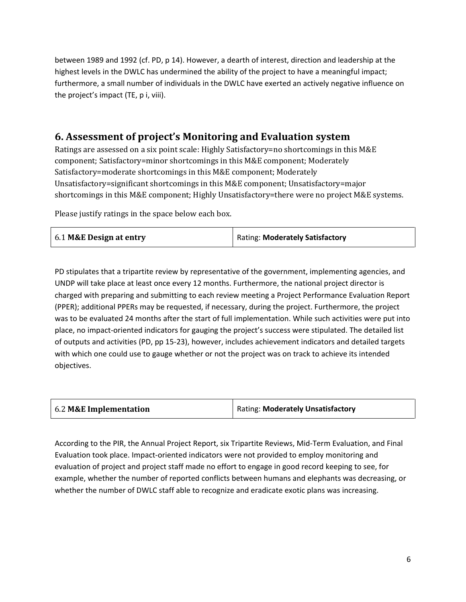between 1989 and 1992 (cf. PD, p 14). However, a dearth of interest, direction and leadership at the highest levels in the DWLC has undermined the ability of the project to have a meaningful impact; furthermore, a small number of individuals in the DWLC have exerted an actively negative influence on the project's impact (TE, p i, viii).

#### **6. Assessment of project's Monitoring and Evaluation system**

Ratings are assessed on a six point scale: Highly Satisfactory=no shortcomings in this M&E component; Satisfactory=minor shortcomings in this M&E component; Moderately Satisfactory=moderate shortcomings in this M&E component; Moderately Unsatisfactory=significant shortcomings in this M&E component; Unsatisfactory=major shortcomings in this M&E component; Highly Unsatisfactory=there were no project M&E systems.

Please justify ratings in the space below each box.

| Rating: Moderately Satisfactory<br>6.1 M&E Design at entry |  |  |
|------------------------------------------------------------|--|--|
|------------------------------------------------------------|--|--|

PD stipulates that a tripartite review by representative of the government, implementing agencies, and UNDP will take place at least once every 12 months. Furthermore, the national project director is charged with preparing and submitting to each review meeting a Project Performance Evaluation Report (PPER); additional PPERs may be requested, if necessary, during the project. Furthermore, the project was to be evaluated 24 months after the start of full implementation. While such activities were put into place, no impact-oriented indicators for gauging the project's success were stipulated. The detailed list of outputs and activities (PD, pp 15-23), however, includes achievement indicators and detailed targets with which one could use to gauge whether or not the project was on track to achieve its intended objectives.

| 6.2 M&E Implementation | Rating: Moderately Unsatisfactory |
|------------------------|-----------------------------------|
|------------------------|-----------------------------------|

According to the PIR, the Annual Project Report, six Tripartite Reviews, Mid-Term Evaluation, and Final Evaluation took place. Impact-oriented indicators were not provided to employ monitoring and evaluation of project and project staff made no effort to engage in good record keeping to see, for example, whether the number of reported conflicts between humans and elephants was decreasing, or whether the number of DWLC staff able to recognize and eradicate exotic plans was increasing.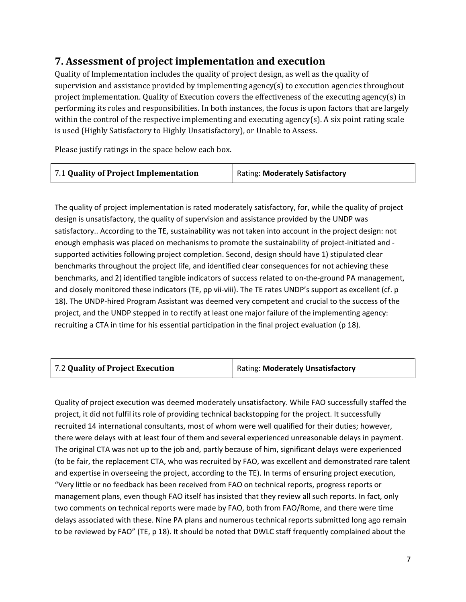### **7. Assessment of project implementation and execution**

Quality of Implementation includes the quality of project design, as well as the quality of supervision and assistance provided by implementing agency(s) to execution agencies throughout project implementation. Quality of Execution covers the effectiveness of the executing agency(s) in performing its roles and responsibilities. In both instances, the focus is upon factors that are largely within the control of the respective implementing and executing agency(s). A six point rating scale is used (Highly Satisfactory to Highly Unsatisfactory), or Unable to Assess.

Please justify ratings in the space below each box.

| 7.1 Quality of Project Implementation | Rating: Moderately Satisfactory |
|---------------------------------------|---------------------------------|
|                                       |                                 |

The quality of project implementation is rated moderately satisfactory, for, while the quality of project design is unsatisfactory, the quality of supervision and assistance provided by the UNDP was satisfactory.. According to the TE, sustainability was not taken into account in the project design: not enough emphasis was placed on mechanisms to promote the sustainability of project-initiated and supported activities following project completion. Second, design should have 1) stipulated clear benchmarks throughout the project life, and identified clear consequences for not achieving these benchmarks, and 2) identified tangible indicators of success related to on-the-ground PA management, and closely monitored these indicators (TE, pp vii-viii). The TE rates UNDP's support as excellent (cf. p 18). The UNDP-hired Program Assistant was deemed very competent and crucial to the success of the project, and the UNDP stepped in to rectify at least one major failure of the implementing agency: recruiting a CTA in time for his essential participation in the final project evaluation (p 18).

| 7.2 Quality of Project Execution | Rating: Moderately Unsatisfactory |
|----------------------------------|-----------------------------------|
|----------------------------------|-----------------------------------|

Quality of project execution was deemed moderately unsatisfactory. While FAO successfully staffed the project, it did not fulfil its role of providing technical backstopping for the project. It successfully recruited 14 international consultants, most of whom were well qualified for their duties; however, there were delays with at least four of them and several experienced unreasonable delays in payment. The original CTA was not up to the job and, partly because of him, significant delays were experienced (to be fair, the replacement CTA, who was recruited by FAO, was excellent and demonstrated rare talent and expertise in overseeing the project, according to the TE). In terms of ensuring project execution, "Very little or no feedback has been received from FAO on technical reports, progress reports or management plans, even though FAO itself has insisted that they review all such reports. In fact, only two comments on technical reports were made by FAO, both from FAO/Rome, and there were time delays associated with these. Nine PA plans and numerous technical reports submitted long ago remain to be reviewed by FAO" (TE, p 18). It should be noted that DWLC staff frequently complained about the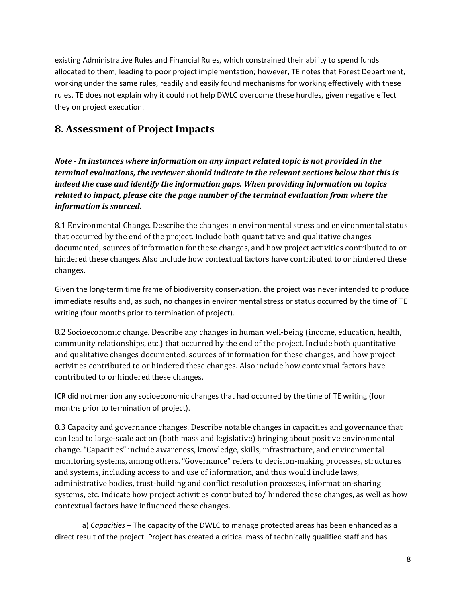existing Administrative Rules and Financial Rules, which constrained their ability to spend funds allocated to them, leading to poor project implementation; however, TE notes that Forest Department, working under the same rules, readily and easily found mechanisms for working effectively with these rules. TE does not explain why it could not help DWLC overcome these hurdles, given negative effect they on project execution.

#### **8. Assessment of Project Impacts**

*Note - In instances where information on any impact related topic is not provided in the terminal evaluations, the reviewer should indicate in the relevant sections below that this is indeed the case and identify the information gaps. When providing information on topics related to impact, please cite the page number of the terminal evaluation from where the information is sourced.* 

8.1 Environmental Change. Describe the changes in environmental stress and environmental status that occurred by the end of the project. Include both quantitative and qualitative changes documented, sources of information for these changes, and how project activities contributed to or hindered these changes. Also include how contextual factors have contributed to or hindered these changes.

Given the long-term time frame of biodiversity conservation, the project was never intended to produce immediate results and, as such, no changes in environmental stress or status occurred by the time of TE writing (four months prior to termination of project).

8.2 Socioeconomic change. Describe any changes in human well-being (income, education, health, community relationships, etc.) that occurred by the end of the project. Include both quantitative and qualitative changes documented, sources of information for these changes, and how project activities contributed to or hindered these changes. Also include how contextual factors have contributed to or hindered these changes.

ICR did not mention any socioeconomic changes that had occurred by the time of TE writing (four months prior to termination of project).

8.3 Capacity and governance changes. Describe notable changes in capacities and governance that can lead to large-scale action (both mass and legislative) bringing about positive environmental change. "Capacities" include awareness, knowledge, skills, infrastructure, and environmental monitoring systems, among others. "Governance" refers to decision-making processes, structures and systems, including access to and use of information, and thus would include laws, administrative bodies, trust-building and conflict resolution processes, information-sharing systems, etc. Indicate how project activities contributed to/ hindered these changes, as well as how contextual factors have influenced these changes.

a) *Capacities* – The capacity of the DWLC to manage protected areas has been enhanced as a direct result of the project. Project has created a critical mass of technically qualified staff and has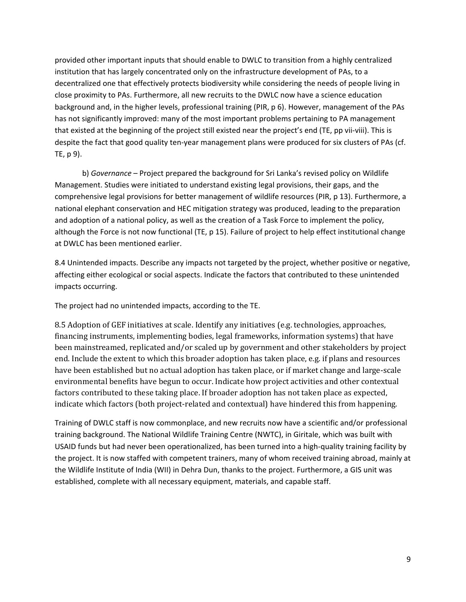provided other important inputs that should enable to DWLC to transition from a highly centralized institution that has largely concentrated only on the infrastructure development of PAs, to a decentralized one that effectively protects biodiversity while considering the needs of people living in close proximity to PAs. Furthermore, all new recruits to the DWLC now have a science education background and, in the higher levels, professional training (PIR, p 6). However, management of the PAs has not significantly improved: many of the most important problems pertaining to PA management that existed at the beginning of the project still existed near the project's end (TE, pp vii-viii). This is despite the fact that good quality ten-year management plans were produced for six clusters of PAs (cf. TE, p 9).

b) *Governance* – Project prepared the background for Sri Lanka's revised policy on Wildlife Management. Studies were initiated to understand existing legal provisions, their gaps, and the comprehensive legal provisions for better management of wildlife resources (PIR, p 13). Furthermore, a national elephant conservation and HEC mitigation strategy was produced, leading to the preparation and adoption of a national policy, as well as the creation of a Task Force to implement the policy, although the Force is not now functional (TE, p 15). Failure of project to help effect institutional change at DWLC has been mentioned earlier.

8.4 Unintended impacts. Describe any impacts not targeted by the project, whether positive or negative, affecting either ecological or social aspects. Indicate the factors that contributed to these unintended impacts occurring.

The project had no unintended impacts, according to the TE.

8.5 Adoption of GEF initiatives at scale. Identify any initiatives (e.g. technologies, approaches, financing instruments, implementing bodies, legal frameworks, information systems) that have been mainstreamed, replicated and/or scaled up by government and other stakeholders by project end. Include the extent to which this broader adoption has taken place, e.g. if plans and resources have been established but no actual adoption has taken place, or if market change and large-scale environmental benefits have begun to occur. Indicate how project activities and other contextual factors contributed to these taking place. If broader adoption has not taken place as expected, indicate which factors (both project-related and contextual) have hindered this from happening.

Training of DWLC staff is now commonplace, and new recruits now have a scientific and/or professional training background. The National Wildlife Training Centre (NWTC), in Giritale, which was built with USAID funds but had never been operationalized, has been turned into a high-quality training facility by the project. It is now staffed with competent trainers, many of whom received training abroad, mainly at the Wildlife Institute of India (WII) in Dehra Dun, thanks to the project. Furthermore, a GIS unit was established, complete with all necessary equipment, materials, and capable staff.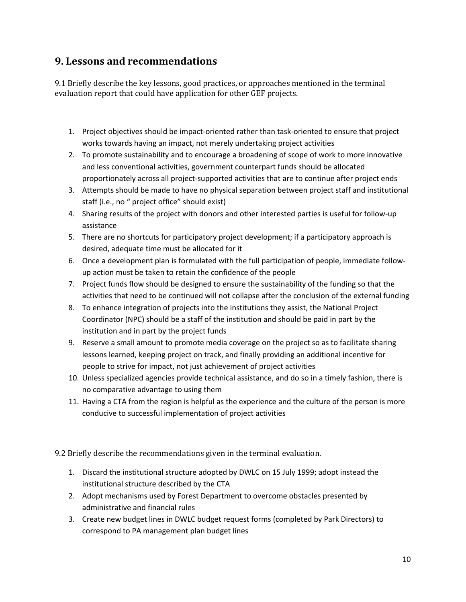### **9. Lessons and recommendations**

9.1 Briefly describe the key lessons, good practices, or approaches mentioned in the terminal evaluation report that could have application for other GEF projects.

- 1. Project objectives should be impact-oriented rather than task-oriented to ensure that project works towards having an impact, not merely undertaking project activities
- 2. To promote sustainability and to encourage a broadening of scope of work to more innovative and less conventional activities, government counterpart funds should be allocated proportionately across all project-supported activities that are to continue after project ends
- 3. Attempts should be made to have no physical separation between project staff and institutional staff (i.e., no " project office" should exist)
- 4. Sharing results of the project with donors and other interested parties is useful for follow-up assistance
- 5. There are no shortcuts for participatory project development; if a participatory approach is desired, adequate time must be allocated for it
- 6. Once a development plan is formulated with the full participation of people, immediate followup action must be taken to retain the confidence of the people
- 7. Project funds flow should be designed to ensure the sustainability of the funding so that the activities that need to be continued will not collapse after the conclusion of the external funding
- 8. To enhance integration of projects into the institutions they assist, the National Project Coordinator (NPC) should be a staff of the institution and should be paid in part by the institution and in part by the project funds
- 9. Reserve a small amount to promote media coverage on the project so as to facilitate sharing lessons learned, keeping project on track, and finally providing an additional incentive for people to strive for impact, not just achievement of project activities
- 10. Unless specialized agencies provide technical assistance, and do so in a timely fashion, there is no comparative advantage to using them
- 11. Having a CTA from the region is helpful as the experience and the culture of the person is more conducive to successful implementation of project activities

9.2 Briefly describe the recommendations given in the terminal evaluation.

- 1. Discard the institutional structure adopted by DWLC on 15 July 1999; adopt instead the institutional structure described by the CTA
- 2. Adopt mechanisms used by Forest Department to overcome obstacles presented by administrative and financial rules
- 3. Create new budget lines in DWLC budget request forms (completed by Park Directors) to correspond to PA management plan budget lines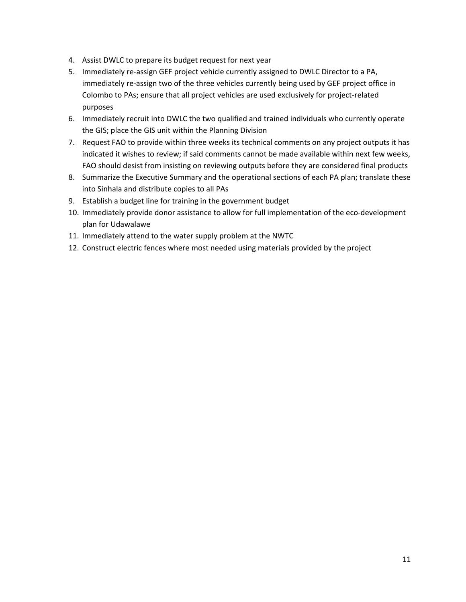- 4. Assist DWLC to prepare its budget request for next year
- 5. Immediately re-assign GEF project vehicle currently assigned to DWLC Director to a PA, immediately re-assign two of the three vehicles currently being used by GEF project office in Colombo to PAs; ensure that all project vehicles are used exclusively for project-related purposes
- 6. Immediately recruit into DWLC the two qualified and trained individuals who currently operate the GIS; place the GIS unit within the Planning Division
- 7. Request FAO to provide within three weeks its technical comments on any project outputs it has indicated it wishes to review; if said comments cannot be made available within next few weeks, FAO should desist from insisting on reviewing outputs before they are considered final products
- 8. Summarize the Executive Summary and the operational sections of each PA plan; translate these into Sinhala and distribute copies to all PAs
- 9. Establish a budget line for training in the government budget
- 10. Immediately provide donor assistance to allow for full implementation of the eco-development plan for Udawalawe
- 11. Immediately attend to the water supply problem at the NWTC
- 12. Construct electric fences where most needed using materials provided by the project